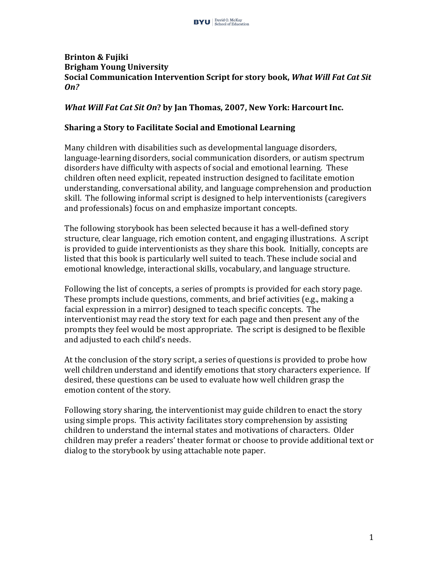## **Brinton & Fujiki Brigham Young University Social Communication Intervention Script for story book, What Will Fat Cat Sit** *On?*

## *What Will Fat Cat Sit On*? by Jan Thomas, 2007, New York: Harcourt Inc.

## **Sharing a Story to Facilitate Social and Emotional Learning**

Many children with disabilities such as developmental language disorders, language-learning disorders, social communication disorders, or autism spectrum disorders have difficulty with aspects of social and emotional learning. These children often need explicit, repeated instruction designed to facilitate emotion understanding, conversational ability, and language comprehension and production skill. The following informal script is designed to help interventionists (caregivers and professionals) focus on and emphasize important concepts.

The following storybook has been selected because it has a well-defined story structure, clear language, rich emotion content, and engaging illustrations. A script is provided to guide interventionists as they share this book. Initially, concepts are listed that this book is particularly well suited to teach. These include social and emotional knowledge, interactional skills, vocabulary, and language structure.

Following the list of concepts, a series of prompts is provided for each story page. These prompts include questions, comments, and brief activities (e.g., making a facial expression in a mirror) designed to teach specific concepts. The interventionist may read the story text for each page and then present any of the prompts they feel would be most appropriate. The script is designed to be flexible and adjusted to each child's needs.

At the conclusion of the story script, a series of questions is provided to probe how well children understand and identify emotions that story characters experience. If desired, these questions can be used to evaluate how well children grasp the emotion content of the story.

Following story sharing, the interventionist may guide children to enact the story using simple props. This activity facilitates story comprehension by assisting children to understand the internal states and motivations of characters. Older children may prefer a readers' theater format or choose to provide additional text or dialog to the storybook by using attachable note paper.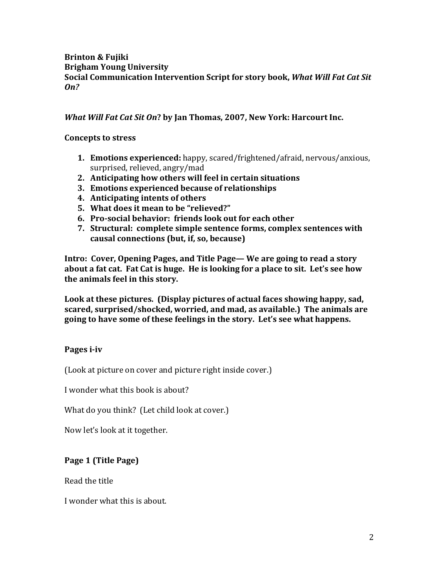# **Brinton & Fujiki Brigham Young University Social Communication Intervention Script for story book, What Will Fat Cat Sit** *On?*

# *What Will Fat Cat Sit On*? by Jan Thomas, 2007, New York: Harcourt Inc.

# **Concepts to stress**

- **1. Emotions experienced:** happy, scared/frightened/afraid, nervous/anxious, surprised, relieved, angry/mad
- **2. Anticipating how others will feel in certain situations**
- **3. Emotions experienced because of relationships**
- **4.** Anticipating intents of others
- **5. What does it mean to be "relieved?"**
- **6. Pro-social behavior: friends look out for each other**
- **7.** Structural: complete simple sentence forms, complex sentences with causal connections (but, if, so, because)

**Intro: Cover, Opening Pages, and Title Page—** We are going to read a story about a fat cat. Fat Cat is huge. He is looking for a place to sit. Let's see how the animals feel in this story.

Look at these pictures. (Display pictures of actual faces showing happy, sad, **scared, surprised/shocked, worried, and mad, as available.) The animals are** going to have some of these feelings in the story. Let's see what happens.

# Pages *i-iv*

(Look at picture on cover and picture right inside cover.)

I wonder what this book is about?

What do you think? (Let child look at cover.)

Now let's look at it together.

# **Page 1 (Title Page)**

Read the title

I wonder what this is about.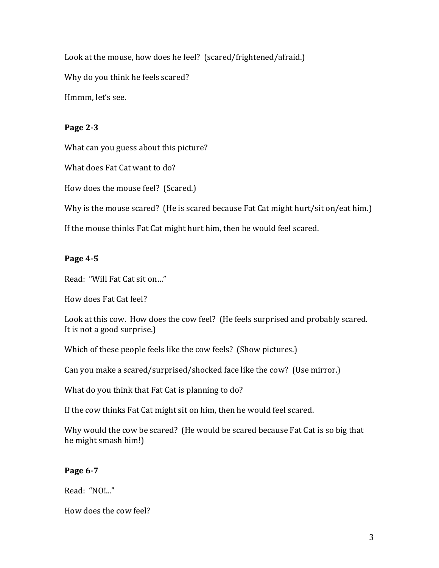Look at the mouse, how does he feel? (scared/frightened/afraid.) Why do you think he feels scared? Hmmm, let's see.

## **Page 2-3**

What can you guess about this picture?

What does Fat Cat want to do?

How does the mouse feel? (Scared.)

Why is the mouse scared? (He is scared because Fat Cat might hurt/sit on/eat him.)

If the mouse thinks Fat Cat might hurt him, then he would feel scared.

# **Page 4-5**

Read: "Will Fat Cat sit on..."

How does Fat Cat feel?

Look at this cow. How does the cow feel? (He feels surprised and probably scared. It is not a good surprise.)

Which of these people feels like the cow feels? (Show pictures.)

Can you make a scared/surprised/shocked face like the cow? (Use mirror.)

What do you think that Fat Cat is planning to do?

If the cow thinks Fat Cat might sit on him, then he would feel scared.

Why would the cow be scared? (He would be scared because Fat Cat is so big that he might smash him!)

# **Page 6-7**

Read: "NO!..."

How does the cow feel?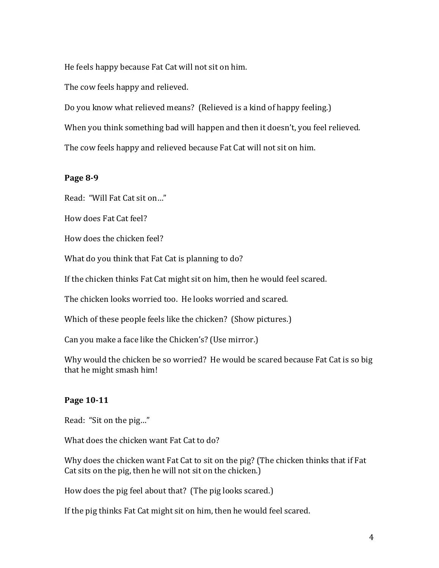He feels happy because Fat Cat will not sit on him.

The cow feels happy and relieved.

Do you know what relieved means? (Relieved is a kind of happy feeling.)

When you think something bad will happen and then it doesn't, you feel relieved.

The cow feels happy and relieved because Fat Cat will not sit on him.

## **Page 8-9**

Read: "Will Fat Cat sit on..."

How does Fat Cat feel?

How does the chicken feel?

What do you think that Fat Cat is planning to do?

If the chicken thinks Fat Cat might sit on him, then he would feel scared.

The chicken looks worried too. He looks worried and scared.

Which of these people feels like the chicken? (Show pictures.)

Can you make a face like the Chicken's? (Use mirror.)

Why would the chicken be so worried? He would be scared because Fat Cat is so big that he might smash him!

## **Page 10-11**

Read: "Sit on the pig..."

What does the chicken want Fat Cat to do?

Why does the chicken want Fat Cat to sit on the pig? (The chicken thinks that if Fat Cat sits on the pig, then he will not sit on the chicken.)

How does the pig feel about that? (The pig looks scared.)

If the pig thinks Fat Cat might sit on him, then he would feel scared.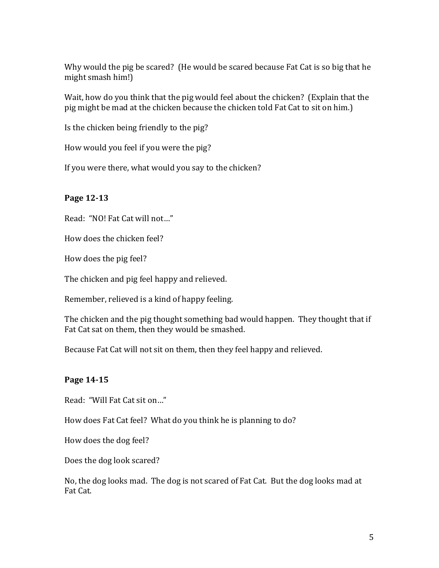Why would the pig be scared? (He would be scared because Fat Cat is so big that he might smash him!)

Wait, how do you think that the pig would feel about the chicken? (Explain that the pig might be mad at the chicken because the chicken told Fat Cat to sit on him.)

Is the chicken being friendly to the pig?

How would you feel if you were the pig?

If you were there, what would you say to the chicken?

# **Page 12-13**

Read: "NO! Fat Cat will not..."

How does the chicken feel?

How does the pig feel?

The chicken and pig feel happy and relieved.

Remember, relieved is a kind of happy feeling.

The chicken and the pig thought something bad would happen. They thought that if Fat Cat sat on them, then they would be smashed.

Because Fat Cat will not sit on them, then they feel happy and relieved.

# **Page 14-15**

Read: "Will Fat Cat sit on..."

How does Fat Cat feel? What do you think he is planning to do?

How does the dog feel?

Does the dog look scared?

No, the dog looks mad. The dog is not scared of Fat Cat. But the dog looks mad at Fat Cat.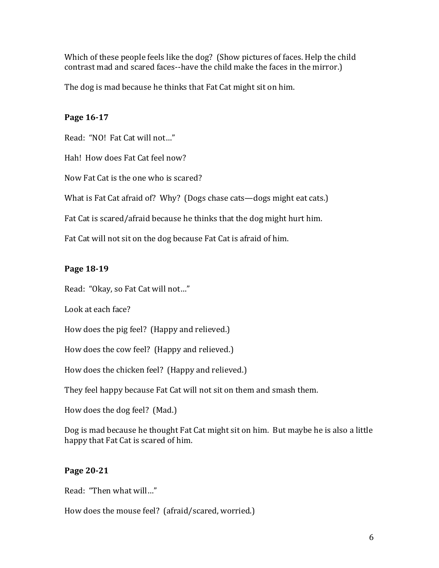Which of these people feels like the dog? (Show pictures of faces. Help the child contrast mad and scared faces--have the child make the faces in the mirror.)

The dog is mad because he thinks that Fat Cat might sit on him.

# **Page 16-17**

Read: "NO! Fat Cat will not..."

Hah! How does Fat Cat feel now?

Now Fat Cat is the one who is scared?

What is Fat Cat afraid of? Why? (Dogs chase cats—dogs might eat cats.)

Fat Cat is scared/afraid because he thinks that the dog might hurt him.

Fat Cat will not sit on the dog because Fat Cat is afraid of him.

# **Page 18-19**

Read: "Okay, so Fat Cat will not..."

Look at each face?

How does the pig feel? (Happy and relieved.)

How does the cow feel? (Happy and relieved.)

How does the chicken feel? (Happy and relieved.)

They feel happy because Fat Cat will not sit on them and smash them.

How does the dog feel? (Mad.)

Dog is mad because he thought Fat Cat might sit on him. But maybe he is also a little happy that Fat Cat is scared of him.

# **Page 20-21**

Read: "Then what will..."

How does the mouse feel? (afraid/scared, worried.)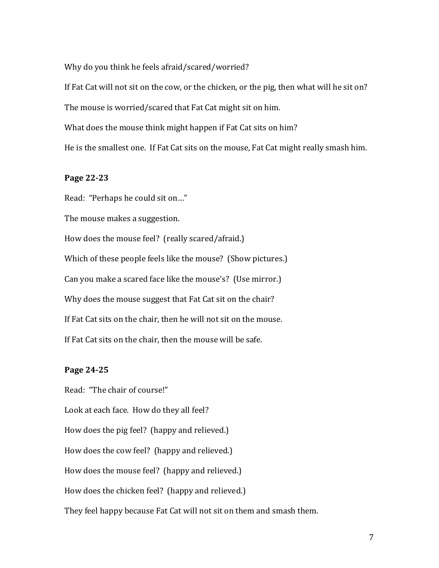Why do you think he feels afraid/scared/worried?

If Fat Cat will not sit on the cow, or the chicken, or the pig, then what will he sit on? The mouse is worried/scared that Fat Cat might sit on him. What does the mouse think might happen if Fat Cat sits on him?

He is the smallest one. If Fat Cat sits on the mouse, Fat Cat might really smash him.

#### **Page 22-23**

Read: "Perhaps he could sit on..." The mouse makes a suggestion. How does the mouse feel? (really scared/afraid.) Which of these people feels like the mouse? (Show pictures.) Can you make a scared face like the mouse's? (Use mirror.) Why does the mouse suggest that Fat Cat sit on the chair? If Fat Cat sits on the chair, then he will not sit on the mouse. If Fat Cat sits on the chair, then the mouse will be safe.

#### **Page 24-25**

Read: "The chair of course!" Look at each face. How do they all feel? How does the pig feel? (happy and relieved.) How does the cow feel? (happy and relieved.) How does the mouse feel? (happy and relieved.) How does the chicken feel? (happy and relieved.) They feel happy because Fat Cat will not sit on them and smash them.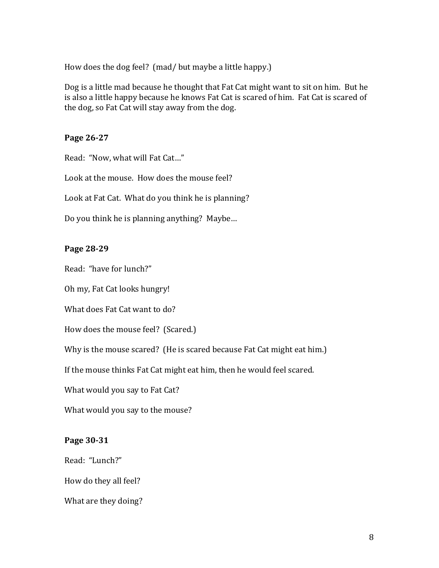How does the dog feel? (mad/ but maybe a little happy.)

Dog is a little mad because he thought that Fat Cat might want to sit on him. But he is also a little happy because he knows Fat Cat is scared of him. Fat Cat is scared of the dog, so Fat Cat will stay away from the dog.

#### **Page 26-27**

Read: "Now, what will Fat Cat..."

Look at the mouse. How does the mouse feel?

Look at Fat Cat. What do you think he is planning?

Do you think he is planning anything? Maybe...

#### **Page 28-29**

Read: "have for lunch?"

Oh my, Fat Cat looks hungry!

What does Fat Cat want to do?

How does the mouse feel? (Scared.)

Why is the mouse scared? (He is scared because Fat Cat might eat him.)

If the mouse thinks Fat Cat might eat him, then he would feel scared.

What would you say to Fat Cat?

What would you say to the mouse?

#### **Page 30-31**

Read: "Lunch?"

How do they all feel?

What are they doing?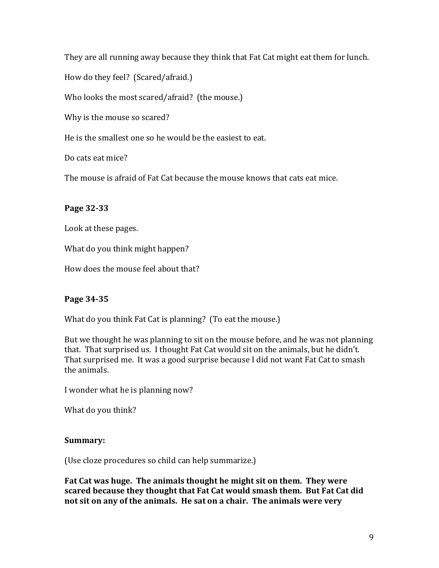They are all running away because they think that Fat Cat might eat them for lunch.

How do they feel? (Scared/afraid.)

Who looks the most scared/afraid? (the mouse.)

Why is the mouse so scared?

He is the smallest one so he would be the easiest to eat.

Do cats eat mice?

The mouse is afraid of Fat Cat because the mouse knows that cats eat mice.

# **Page 32-33**

Look at these pages.

What do you think might happen?

How does the mouse feel about that?

## **Page 34-35**

What do you think Fat Cat is planning? (To eat the mouse.)

But we thought he was planning to sit on the mouse before, and he was not planning that. That surprised us. I thought Fat Cat would sit on the animals, but he didn't. That surprised me. It was a good surprise because I did not want Fat Cat to smash the animals.

I wonder what he is planning now?

What do you think?

## **Summary:**

(Use cloze procedures so child can help summarize.)

Fat Cat was huge. The animals thought he might sit on them. They were scared because they thought that Fat Cat would smash them. But Fat Cat did not sit on any of the animals. He sat on a chair. The animals were very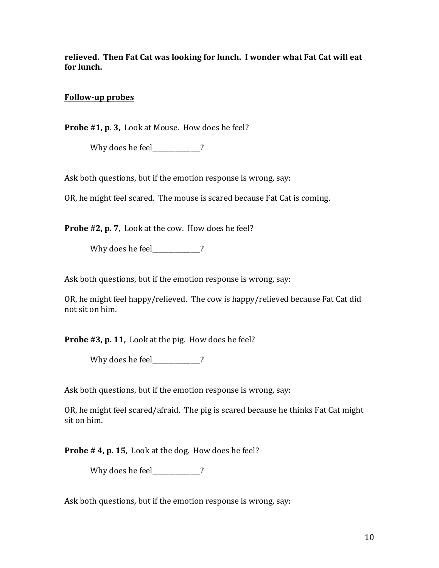relieved. Then Fat Cat was looking for lunch. I wonder what Fat Cat will eat for lunch.

## **Follow-up probes**

**Probe #1, p. 3,** Look at Mouse. How does he feel?

Why does he feel\_\_\_\_\_\_\_\_\_\_?

Ask both questions, but if the emotion response is wrong, say:

OR, he might feel scared. The mouse is scared because Fat Cat is coming.

**Probe #2, p. 7**, Look at the cow. How does he feel?

Why does he feel\_\_\_\_\_\_\_\_\_\_\_?

Ask both questions, but if the emotion response is wrong, say:

OR, he might feel happy/relieved. The cow is happy/relieved because Fat Cat did not sit on him.

**Probe #3, p. 11,** Look at the pig. How does he feel?

Why does he feel 2

Ask both questions, but if the emotion response is wrong, say:

OR, he might feel scared/afraid. The pig is scared because he thinks Fat Cat might sit on him.

**Probe # 4, p. 15**, Look at the dog. How does he feel?

Why does he feel  $\sim$  ?

Ask both questions, but if the emotion response is wrong, say: